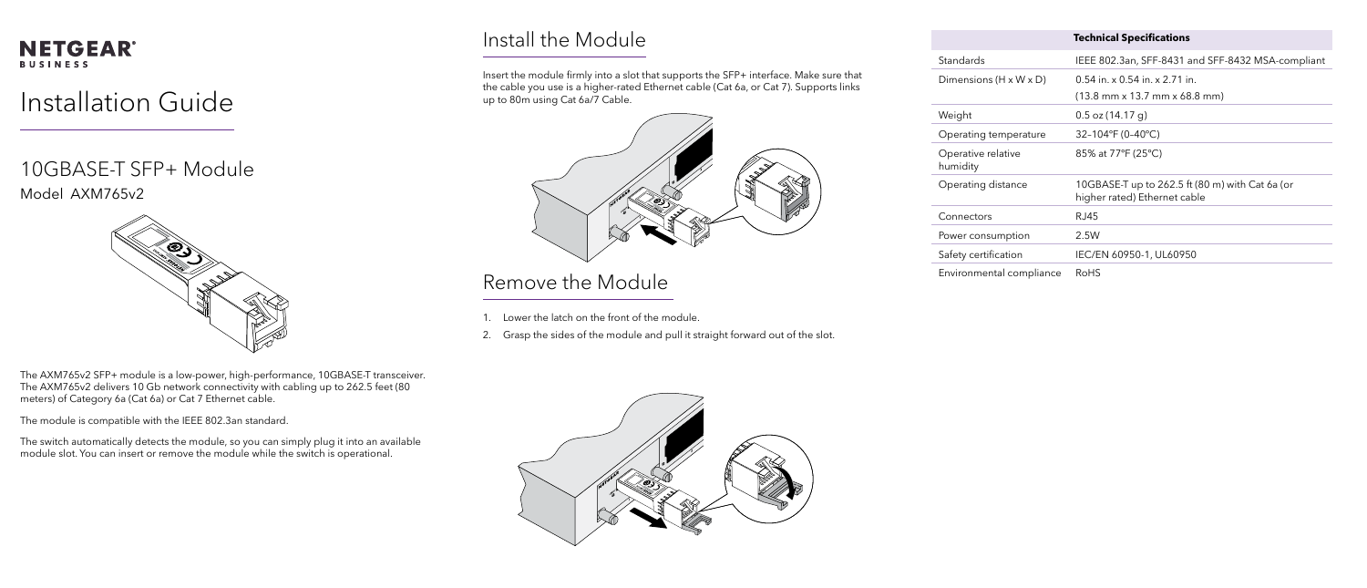### **NETGEAR® BUSINESS**

# Installation Guide

10GBASE-T SFP+ Module Model AXM765v2



The AXM765v2 SFP+ module is a low-power, high-performance, 10GBASE-T transceiver. The AXM765v2 delivers 10 Gb network connectivity with cabling up to 262.5 feet (80 meters) of Category 6a (Cat 6a) or Cat 7 Ethernet cable.

The module is compatible with the IEEE 802.3an standard.

The switch automatically detects the module, so you can simply plug it into an available module slot. You can insert or remove the module while the switch is operational.

## Install the Module

Operating distar

Power consumpt

Safety certificatio

Environmental co

Insert the module firmly into a slot that supports the SFP+ interface. Make sure that the cable you use is a higher-rated Ethernet cable (Cat 6a, or Cat 7). Supports links up to 80m using Cat 6a/7 Cable.



### Remove the Module

- 1. Lower the latch on the front of the module.
- 2. Grasp the sides of the module and pull it straight forward out of the slot.



Dimensions (H x

### Weight

Operating temp

|                                    | <b>Technical Specifications</b>                                                                       |
|------------------------------------|-------------------------------------------------------------------------------------------------------|
| Standards                          | IEEE 802.3an, SFF-8431 and SFF-8432 MSA-compliant                                                     |
| Dimensions $(H \times W \times D)$ | $0.54$ in. x 0.54 in. x 2.71 in.<br>$(13.8 \text{ mm} \times 13.7 \text{ mm} \times 68.8 \text{ mm})$ |
| Weight                             | $0.5$ oz (14.17 g)                                                                                    |
| Operating temperature              | 32-104°F (0-40°C)                                                                                     |
| Operative relative<br>humidity     | 85% at 77°F (25°C)                                                                                    |
| Operating distance                 | 10GBASE-T up to 262.5 ft (80 m) with Cat 6a (or<br>higher rated) Ethernet cable                       |
| Connectors                         | RJ45                                                                                                  |
| Power consumption                  | 2.5W                                                                                                  |
| Safety certification               | IEC/EN 60950-1, UL60950                                                                               |
| Environmental compliance           | RoHS                                                                                                  |